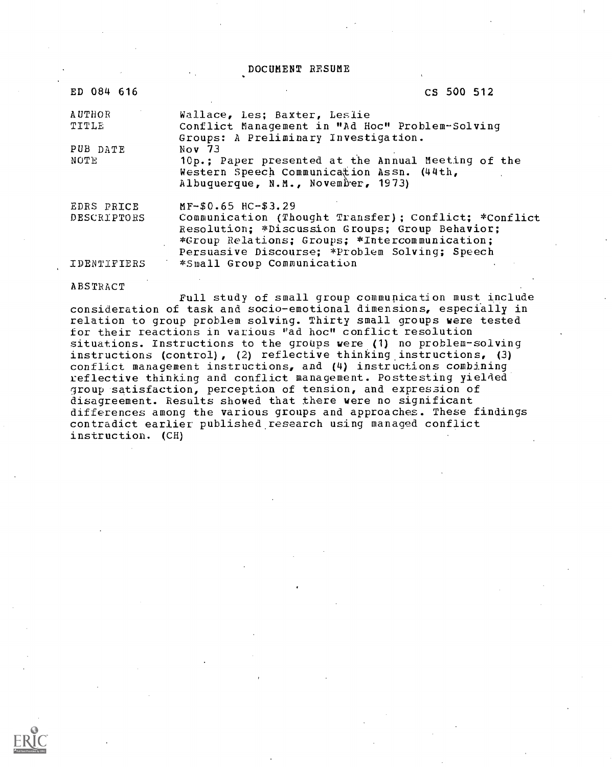DOCUMENT RESUME

| ED 084 616             | CS 500 512                                                                                                                                                                                                   |
|------------------------|--------------------------------------------------------------------------------------------------------------------------------------------------------------------------------------------------------------|
| <b>AUTHOR</b><br>TITLE | Wallace, Les; Baxter, Leslie<br>Conflict Management in "Ad Hoc" Problem-Solving                                                                                                                              |
| PUB DATE               | Groups: A Preliminary Investigation.<br>Nov $73$                                                                                                                                                             |
| NOTE                   | 10p.; Paper presented at the Annual Meeting of the<br>Western Speech Communication Assn. (44th,<br>Albuquerque, N.M., November, 1973)                                                                        |
| EDRS PRICE             | MF-\$0.65 HC-\$3.29                                                                                                                                                                                          |
| DESCRIPTORS            | Communication (Thought Transfer); Conflict; *Conflict<br>Resolution: *Discussion Groups; Group Behavior;<br>*Group Relations; Groups; *Intercommunication;<br>Persuasive Discourse; *Problem Solving; Speech |
| IDENTIFIERS            | *Small Group Communication                                                                                                                                                                                   |

#### ABSTRACT

Full study of small group communication must include consideration of task and socio-emotional dimensions, especially in relation to group problem solving. Thirty small groups were tested for their reactions in various "ad hoc" conflict resolution situations. Instructions to the groups were (1) no problem-solving instructions (control), (2) reflective thinking instructions, (3) conflict management instructions, and (4) instructions combining reflective thinking and conflict management. Posttesting yielded group satisfaction, perception of tension, and expression of disagreement. Results showed that there were no significant differences among the various groups and approaches. These findings contradict earlier published research using managed conflict instruction. (CH)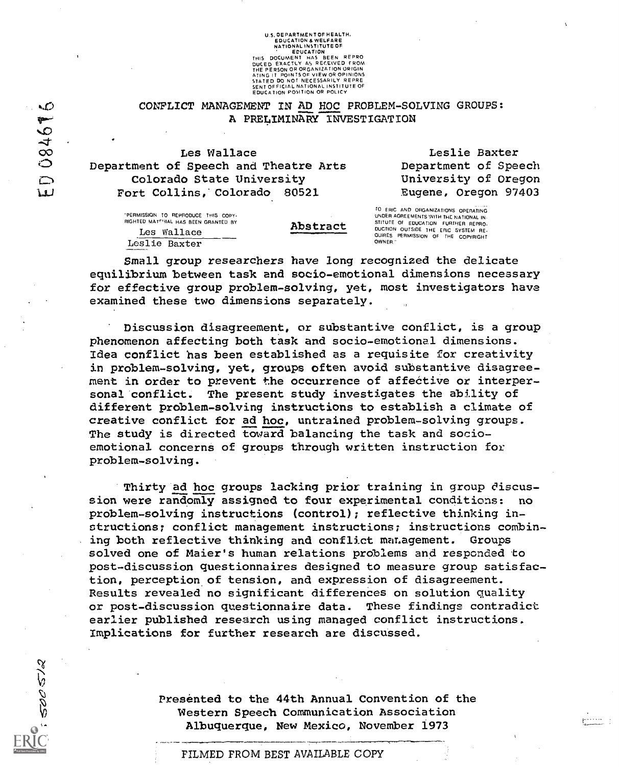U.S. GEPARTMENT OF HEALTH.<br>
EDICATION & WELFARE<br>
NATIONAL INSTITUTE OF<br>
THIS DOCUMENT HAS BEEN REPRO<br>
DUCED EXACTLY AS RECEIVED FROM<br>
THE PERSON OR ORGANIZATION ORIGIN<br>
ATING IT POINTS OF VIEW OR OPINIONS<br>
STATED DO NOT NE SENT OFFICIAL NATIONAL INSTITUTE OF<br>EDUCATION POSITION OR POLICY

# CONFLICT MANAGEMENT IN AD HOC PROBLEM-SOLVING GROUPS: A PRELIMINARY INVESTIGATION

Les Wallace Department of Speech and Theatre Arts Colorado State University Fort Collins,' Colorado 80521

> "PERMISSION TO REPRODUCE THIS COPY RIGHTED MAT<sup>CHIAL</sup> HAS BEEN GRANTED BY Les Wallace Leslie Baxter

 $\sim$ 

08467

 $\sum_{i=1}^{n}$ W

500512

| Abstract |
|----------|
|          |
|          |
|          |

Leslie Baxter Department of Speech University of Oregon Eugene, Oregon 97403

 $r^{2}$ 

Abstract BUILD OUTSIDE THE REPRO.<br>DUCTION OUTSIDE OURS PERMISSION OF THE COPYRIGHT FO ERIC AND ORGANIZATIONS OPERATING UNDER AGREEMENTS WITH THE NATIONAL IN. STITUTE OF EDUCATION FURTHER REPRO. OWNER

Small group researchers have long recognized the delicate equilibrium between task and socio-emotional dimensions necessary for effective group problem-solving, yet, most investigators have examined these two dimensions separately.

Discussion disagreement, or substantive conflict, is a group phenomenon affecting both task and socio-emotional dimensions. Idea conflict has been established as a requisite for creativity in problem-solving, yet, groups often avoid substantive disagreement in order to prevent the occurrence of affective or interpersonal conflict. The present study investigates the ability of different problem-solving instructions to establish a climate of creative conflict for ad hoc, untrained problem-solving groups. The study is directed toward balancing the task and socioemotional concerns of groups through written instruction for problem-solving.

Thirty ad hoc groups lacking prior training in group discussion were randomly assigned to four experimental conditions: no problem-solving instructions (control); reflective thinking instructions; conflict management instructions; instructions combining both reflective thinking and conflict management. Groups solved one of Maier's human relations problems and responded to post-discussion questionnaires designed to measure group satisfaction, perception of tension, and expression of disagreement. Results revealed no significant differences on solution quality or post-discussion questionnaire data. These findings contradict earlier published research using managed conflict instructions. Implications for further research are discussed.

> Presented to the 44th Annual Convention of the Western Speech Communication Association Albuquerque, New Mexico, November 1973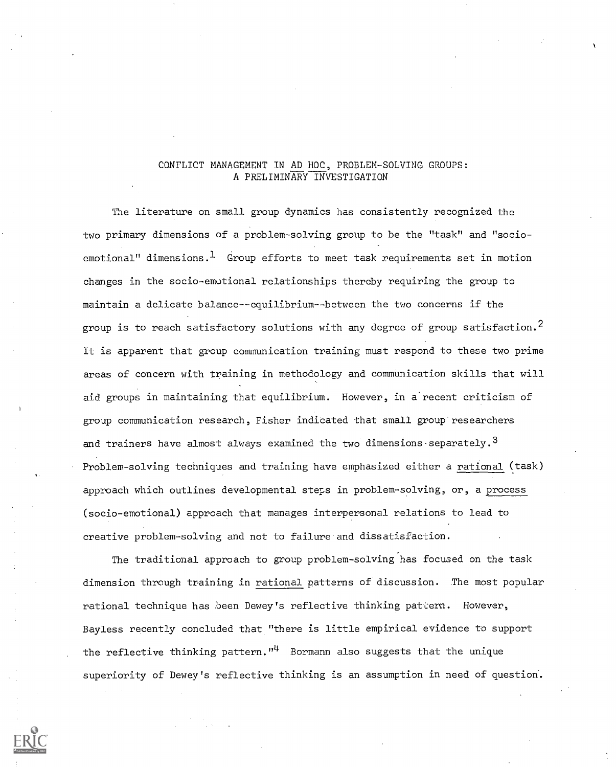# CONFLICT MANAGEMENT IN AD HOC, PROBLEM-SOLVING GROUPS: A PRELIMINARY INVESTIGATION

The literature on small group dynamics has consistently recognized the two primary dimensions of a problem-solving group to be the "task" and "socioemotional" dimensions.<sup>1</sup> Group efforts to meet task requirements set in motion changes in the socio-emotional relationships thereby requiring the group to maintain a delicate balance--equilibrium--between the two concerns if the group is to reach satisfactory solutions with any degree of group satisfaction.<sup>2</sup> It is apparent that group communication training must respond to these two prime areas of concern with training in methodology and communication skills that will aid groups in maintaining that equilibrium. However, in a recent criticism of group communication research, Fisher indicated that small group researchers and trainers have almost always examined the two dimensions separately.<sup>3</sup> Problem-solving techniques and training have emphasized either a rational (task) approach which outlines developmental steps in problem-solving, or, a process (socio-emotional) approach that manages interpersonal relations to lead to creative problem-solving and not to failure and dissatisfaction.

The traditional approach to group problem-solving has focused on the task dimension through training in rational patterns of discussion. The most popular rational technique has been Dewey's reflective thinking pattern. However, Bayless recently concluded that "there is little empirical evidence to support the reflective thinking pattern."<sup>4</sup> Bormann also suggests that the unique superiority of Dewey's reflective thinking is an assumption in need of question.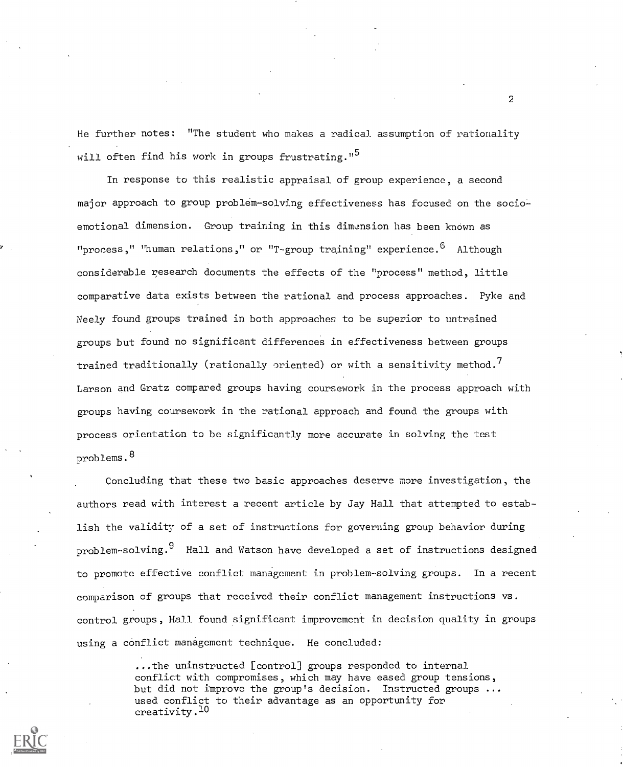He further notes: "The student who makes a radical assumption of rationality will often find his work in groups frustrating."<sup>5</sup>

In response to this realistic appraisal of group experience, a second major approach to group problem-solving effectiveness has focused on the socioemotional dimension. Group training in this dimension has been known as "process," "human relations," or "T-group training" experience.  $6$  Although considerable research documents the effects of the "process" method, little comparative data exists between the rational and process approaches. Pyke and Neely found groups trained in both approaches to be superior to untrained groups but found no significant differences in effectiveness between groups trained traditionally (rationally oriented) or with a sensitivity method.<sup>7</sup> Larson and Gratz compared groups having coursework in the process approach with groups having coursework in the rational approach and found the groups with process orientation to be significantly more accurate in solving the test problems.<sup>8</sup>

Concluding that these two basic approaches deserve more investigation, the authors read with interest a recent article by Jay Hall that attempted to establish the validity of a set of instructions for governing group behavior during problem-solving.<sup>9</sup> Hall and Watson have developed a set of instructions designed to promote effective conflict management in problem solving groups. In a recent comparison of groups that received their conflict management instructions vs. control groups, Hall found significant improvement in decision quality in groups using a conflict management technique. He concluded:

> ...the uninstructed [control] groups responded to internal conflict with compromises, which may have eased group tensions, but did not improve the group's decision. Instructed groups ... used conflict to their advantage as an opportunity for creativity .10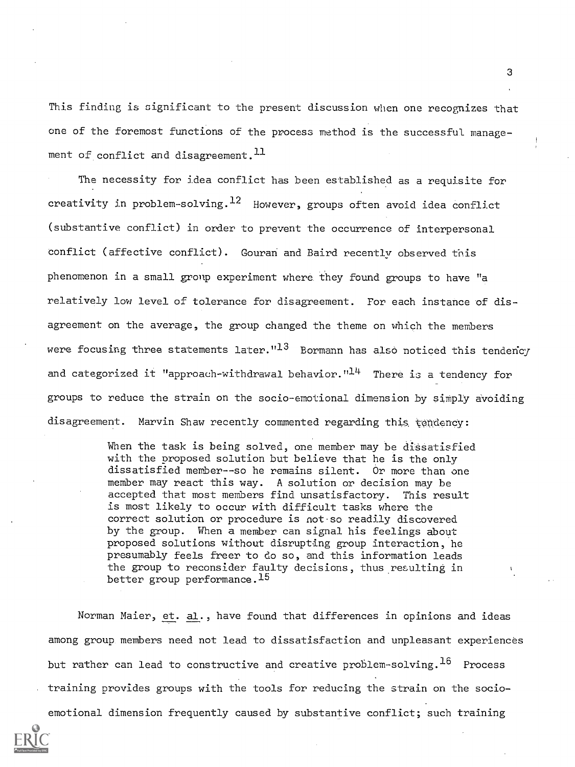This finding is significant to the present discussion when one recognizes that one of the foremost functions of the process method is the successful management of conflict and disagreement.  $^{11}$ 

The necessity for idea conflict has been established as a requisite for creativity in problem-solving. $^{12}$  However, groups often avoid idea conflict (substantive conflict) in order to prevent the occurrence of interpersonal conflict (affective conflict). Gouran and Baird recently observed this phenomenon in a small group experiment where. they found groups to have "a relatively low level of tolerance for disagreement. For each instance of disagreement on the average, the group changed the theme on which the members were focusing three statements later." $13$  Bormann has also noticed this tendency and categorized it "approach-withdrawal behavior. $"^{14}$  There is a tendency for groups to reduce the strain on the socio-emotional dimension by simply avoiding disagreement. Marvin Shaw recently commented regarding this tendency:

> When the task is being solved, one member may be dissatisfied with the proposed solution but believe that he is the only dissatisfied member--so he remains silent. Or more than one member may react this way. A solution or decision may be accepted that most members find unsatisfactory. This result is most likely to occur with difficult tasks where the correct solution or procedure is not-so readily discovered by the group. When a member can signal his feelings about proposed solutions without disrupting group interaction, he presumably feels freer to do so, and this information leads the group to reconsider faulty decisions, thus resulting in better group performance.<sup>15</sup>

Norman Maier, et. al., have found that differences in opinions and ideas among group members need not lead to dissatisfaction and unpleasant experiences but rather can lead to constructive and creative problem-solving.<sup>16</sup> Process training provides groups with the tools for reducing the strain on the socioemotional dimension frequently caused by substantive conflict; such training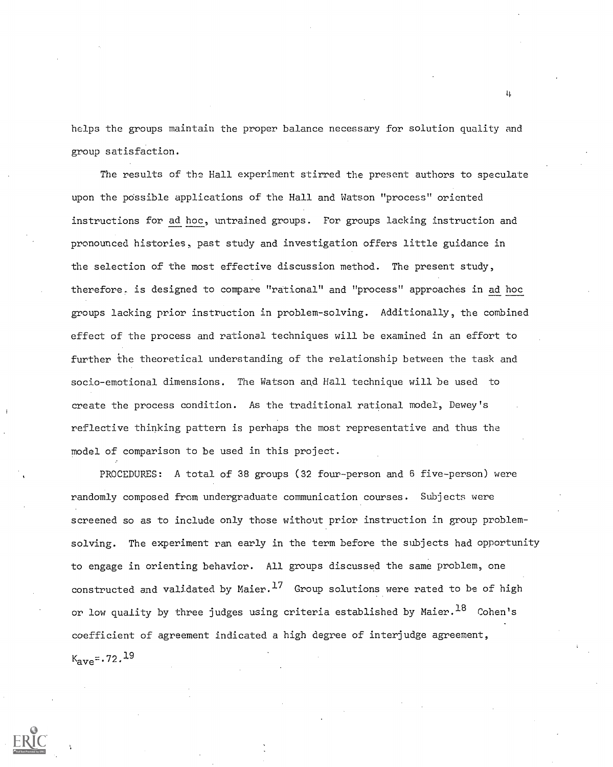helps the groups maintain the proper balance necessary for solution quality and group satisfaction.

The results of the Hall experiment stirred the present authors to speculate upon the possible applications of the Hall and Watson "process" oriented instructions for ad hoc, untrained groups. For groups lacking instruction and pronounced histories, past study and investigation offers little guidance in the selection of the most effective discussion method. The present study, therefore. is designed to compare "rational" and "process" approaches in ad hoc groups lacking prior instruction in problem-solving. Additionally, the combined effect of the process and rational techniques will be examined in an effort to further the theoretical understanding of the relationship between the task and socio-emotional dimensions. The Watson and Hall technique will be used to create the process condition. As the traditional rational model, Dewey's reflective thinking pattern is perhaps the most representative and thus the model of comparison to be used in this project.

PROCEDURES: A total of 38 groups (32 four-person and 6 five-person) were randomly composed from undergraduate communication courses. Subjects were screened so as to include only those without prior instruction in group problemsolving. The experiment ran early in the term before the subjects had opportunity to engage in orienting behavior. All groups discussed the same problem, one constructed and validated by Maier. $^{17}$  Group solutions were rated to be of high or low quality by three judges using criteria established by Maier.  $^{18}$  Cohen's coefficient of agreement indicated a high degree of interjudge agreement,  $K_{\text{ave}} = .72.19$ 

 $\mathbf{u}$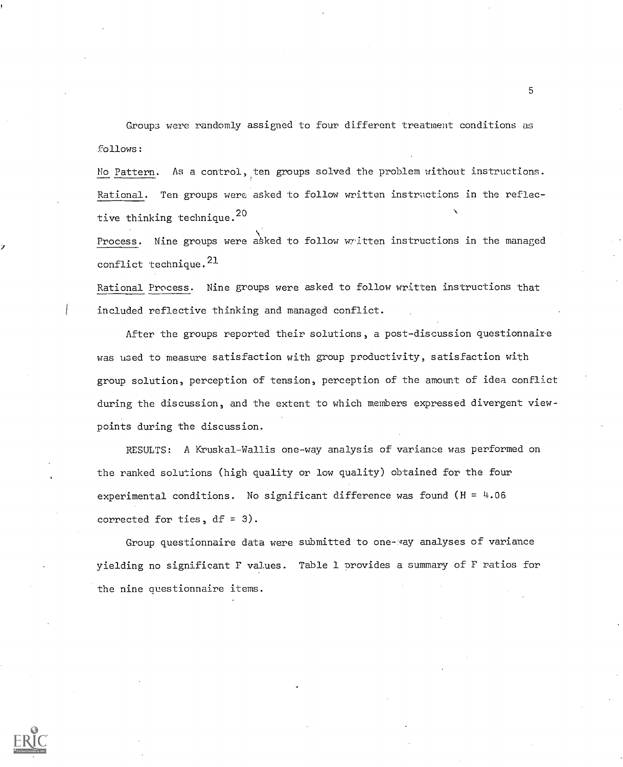Groups were randomly assigned to four different treatment conditions as follows:

No Pattern. As a control, ten groups solved the problem without instructions. Rational. Ten groups were asked to follow written instructions in the reflective thinking technique.<sup>20</sup>

Process. Nine groups were asked to follow written instructions in the managed conflict technique.<sup>21</sup>

Rational Process. Nine groups were asked to follow written instructions that included reflective thinking and managed conflict.

After the groups reported their solutions, a post-discussion questionnaire was used to measure satisfaction with group productivity, satisfaction with group solution, perception of tension, perception of the amount of idea conflict during the discussion, and the extent to which members expressed divergent viewpoints during the discussion.

RESULTS: A Kruskal-Wallis one-way analysis of variance was performed on the ranked solutions (high quality or low quality) obtained for the four experimental conditions. No significant difference was found ( $H = 4.06$ ) corrected for ties, df = 3).

Group questionnaire data were submitted to one-may analyses of variance yielding no significant F values. Table 1 provides a summary of F ratios for the nine Questionnaire items.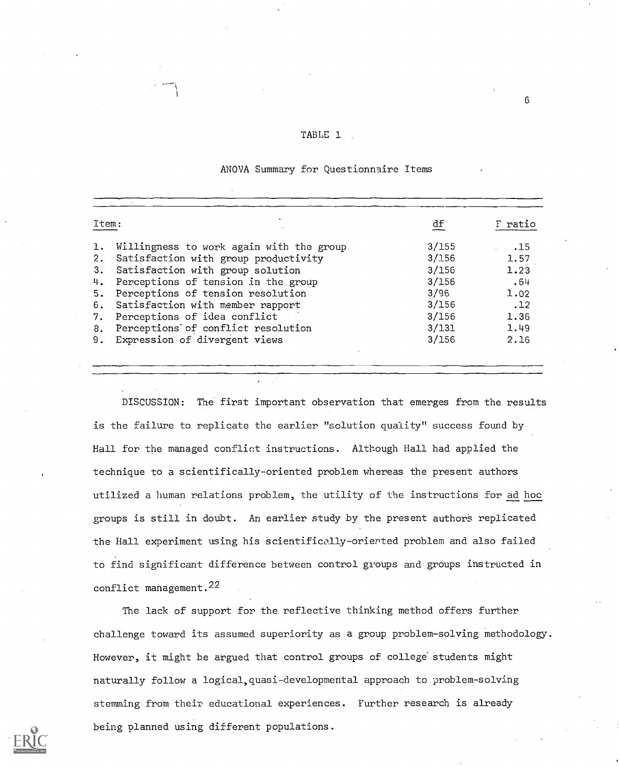|  | TABLE 1 |  |  |  |  |
|--|---------|--|--|--|--|
|--|---------|--|--|--|--|

### ANOVA Summary for Questionnaire Items

| Item:                                          | df      | F ratio |
|------------------------------------------------|---------|---------|
| Willingness to work again with the group<br>ı. | 3/155   | .15     |
| Satisfaction with group productivity<br>2.     | 3/156   | 1.57    |
| Satisfaction with group solution<br>3.         | 3/156   | 1.23    |
| Perceptions of tension in the group<br>4.      | 3/156   | .64     |
| Perceptions of tension resolution<br>5.        | 3/96    | 1.02    |
| Satisfaction with member rapport<br>6.         | 3/156   | .12     |
| Perceptions of idea conflict<br>7.             | 3/156   | 1.36    |
| Perceptions of conflict resolution<br>8.       | $3/131$ | 1.49    |
| Expression of divergent views<br>9.            | 3/156   | 2.16    |

DISCUSSION: The first important observation that emerges from the results is the failure to replicate the earlier "solution quality" success found by Hall for the managed conflict instructions. Although Hall had applied the technique to a scientifically-oriented problem whereas the present authors utilized a human relations problem, the utility of the instructions for ad hoc groups is still in doubt. An earlier study by the present authors replicated the Hall experiment using his scientifically- oriented problem and also failed to find significant difference between control groups and groups instructed in conflict management.22

The lack of support for the reflective thinking method offers further challenge toward its assumed superiority as a group problem-solving methodology. However, it might be argued that control groups of college students might naturally follow a logical,quasi-developmental approach to problem-solving stemming from their educational experiences. Further research is already being planned using different populations.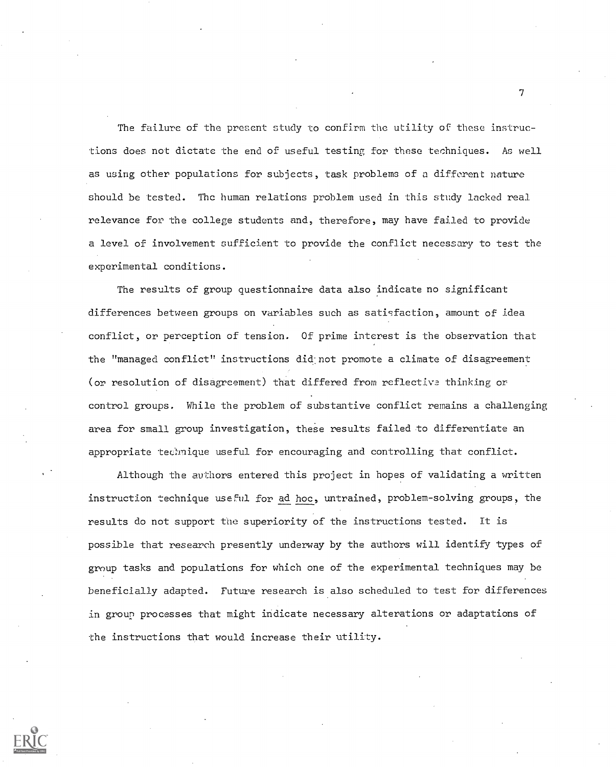The failure of the present study to confirm the utility of these instructions does not dictate the end of useful testing for these techniques. As well as using other populations for subjects, task problems of a different nature should be tested. The human relations problem used in this study lacked real relevance for the college students and, therefore, may have failed to provide a level of involvement sufficient to provide the conflict necessary to test the experimental conditions.

The results of group questionnaire data also indicate no significant differences between groups on variables such as satisfaction, amount of idea conflict, or perception of tension. Of prime interest is the observation that the "managed conflict" instructions did: not promote a climate of disagreement (or resolution of disagreement) that differed from reflective thinking or control groups. While the problem of substantive conflict remains a challenging area for small group investigation, these results failed to differentiate an appropriate technique useful for encouraging and controlling that conflict.

Although the authors entered this project in hopes of validating a written instruction technique useful for ad hoc, untrained, problem-solving groups, the results do not support the superiority of the instructions tested. It is possible that research presently underway by the authors will identify types of group tasks and populations for which one of the experimental techniques may be beneficially adapted. Future research is also scheduled to test for differences in group processes that might indicate necessary alterations or adaptations of the instructions that would increase their utility.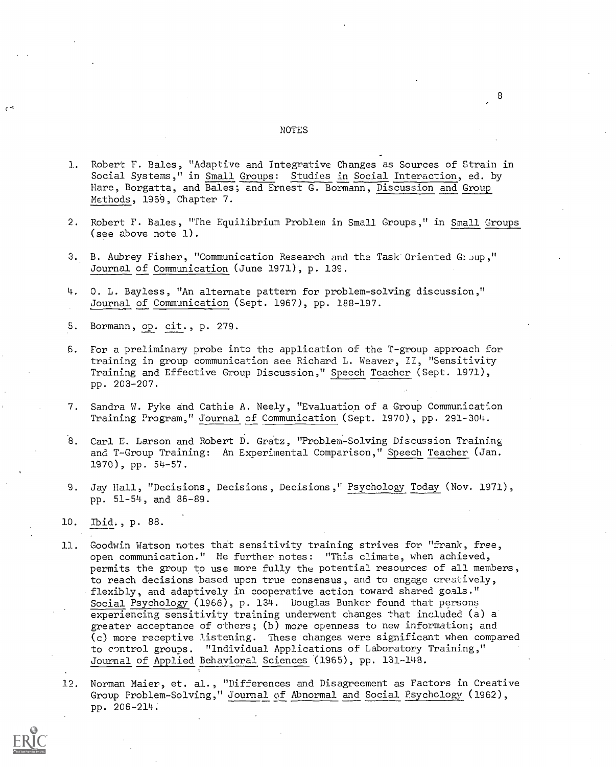#### NOTES

8

- 3. Robert F. Bales, "Adaptive and Integrative Changes as Sources of Strain in Social Systems," in Small Groups: Studies in Social Interaction, ed. by Hare, Borgatta, and Bales; and Ernest G. Bormann, Discussion and Group Methods, 1969, Chapter 7.
- 2. Robert F. Bales, "The Equilibrium Problem in Small. Groups," in Small Groups (see above note 1).
- 3. B. Aubrey Fisher, "Communication Research and the Task Oriented GI oup," Journal of Communication (June 1971), p. 139.
- 4, O. L. Bayless, "An alternate pattern for problem-solving discussion," Journal of Communication (Sept. 1967), pp. 188-197.
- 5. Bormann, op. cit., p. 279.

 $\mathcal{E}$ 

- 6. For a preliminary probe into the application of the T-group approach for training in group communication see Richard L. Weaver, II, "Sensitivity Training and Effective Group Discussion," Speech Teacher (Sept. 1971), pp. 203-207.
- 7. Sandra W. Pyke and Cathie A. Neely, "Evaluation of a Group Communication Training Program," Journal of Communication (Sept. 1970), pp. 291-304.
- 8. Carl E. Larson and Robert D. Gratz, "Problem-Solving Discussion Training and T-Group Training: An Experimental Comparison," Speech Teacher (Jan. 1970), pp. 54-57.
- 9. Jay Hall, "Decisions, Decisions, Decisions," Psychology Today (Nov. 1971), pp. 51-54, and 86-89.
- 10. Ibid., p. 88.
- 11. Goodwin Watson notes that sensitivity training strives for "frank, free, open communication." He further notes: "This climate, when achieved, permits the group to use more fully the potential resources of all members, to reach decisions based upon true consensus, and to engage creatively, flexibly, and adaptively in cooperative action toward shared goals." Social Psychology (1966), p. 134. Douglas Bunker found that persons experiencing sensitivity training underwent changes that included (a) a greater acceptance of others; (b) more openness to new information; and (c) more receptive listening. These changes were significant when compared to control groups. "Individual Applications of Laboratory Training," Journal of Applied Behavioral Sciences (1965), pp. 131-148.
- 12. Norman Maier, et. al., "Differences and Disagreement as Factors in Creative Group Problem-Solving," Journal of Abnormal and Social Psychology (1962), pp. 206-214.